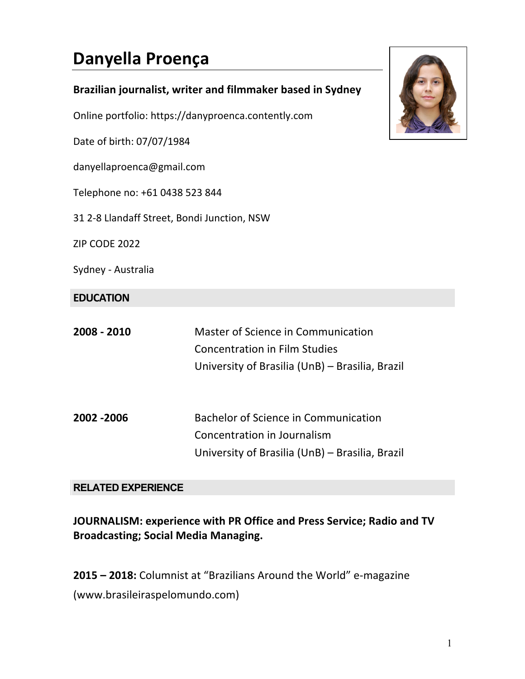# **Danyella Proença**

| Brazilian journalist, writer and filmmaker based in Sydney |
|------------------------------------------------------------|
| Online portfolio: https://danyproenca.contently.com        |
| Date of birth: 07/07/1984                                  |
| danyellaproenca@gmail.com                                  |
| Telephone no: +61 0438 523 844                             |
|                                                            |

31 2-8 Llandaff Street, Bondi Junction, NSW

ZIP CODE 2022

Sydney - Australia

#### **EDUCATION**

| 2008 - 2010 | Master of Science in Communication              |
|-------------|-------------------------------------------------|
|             | <b>Concentration in Film Studies</b>            |
|             | University of Brasilia (UnB) - Brasilia, Brazil |
|             |                                                 |
|             |                                                 |
| 2002 - 2006 | <b>Bachelor of Science in Communication</b>     |
|             | Concentration in Journalism                     |
|             | University of Brasilia (UnB) – Brasilia, Brazil |

## **RELATED EXPERIENCE**

# **JOURNALISM: experience with PR Office and Press Service; Radio and TV Broadcasting; Social Media Managing.**

**2015 - 2018:** Columnist at "Brazilians Around the World" e-magazine (www.brasileiraspelomundo.com)

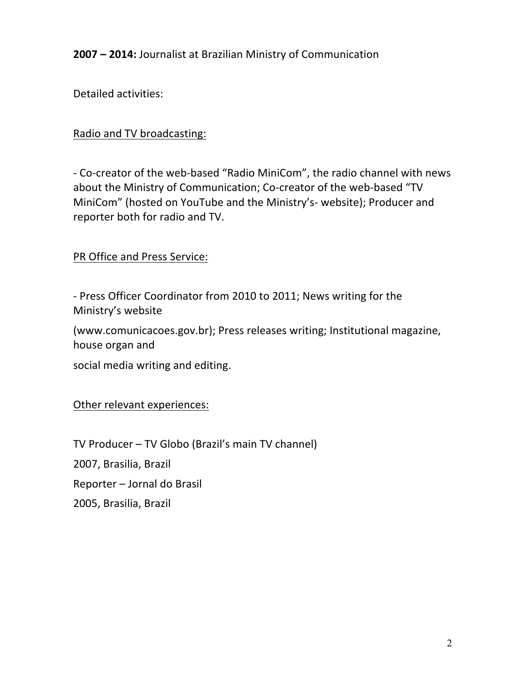**2007 - 2014: Journalist at Brazilian Ministry of Communication** 

Detailed activities:

## Radio and TV broadcasting:

- Co-creator of the web-based "Radio MiniCom", the radio channel with news about the Ministry of Communication; Co-creator of the web-based "TV MiniCom" (hosted on YouTube and the Ministry's- website); Producer and reporter both for radio and TV.

PR Office and Press Service:

- Press Officer Coordinator from 2010 to 2011; News writing for the Ministry's website

(www.comunicacoes.gov.br); Press releases writing; Institutional magazine, house organ and

social media writing and editing.

Other relevant experiences:

TV Producer - TV Globo (Brazil's main TV channel) 2007, Brasilia, Brazil Reporter - Jornal do Brasil 2005, Brasilia, Brazil